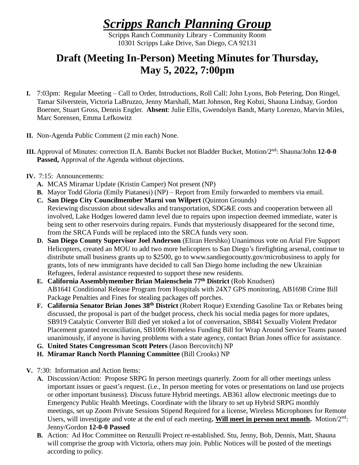## *Scripps Ranch Planning Group*

Scripps Ranch Community Library - Community Room 10301 Scripps Lake Drive, San Diego, CA 92131

## **Draft (Meeting In-Person) Meeting Minutes for Thursday, May 5, 2022, 7:00pm**

- **I.** 7:03pm: Regular Meeting Call to Order, Introductions, Roll Call: John Lyons, Bob Petering, Don Ringel, Tamar Silverstein, Victoria LaBruzzo, Jenny Marshall, Matt Johnson, Reg Kobzi, Shauna Lindsay, Gordon Boerner, Stuart Gross, Dennis Engler. **Absent**: Julie Ellis, Gwendolyn Bandt, Marty Lorenzo, Marvin Miles, Marc Sorensen, Emma Lefkowitz
- **II.** Non-Agenda Public Comment (2 min each) None.
- III. Approval of Minutes: correction II.A. Bambi Bucket not Bladder Bucket, Motion/2<sup>nd</sup>: Shauna/John 12-0-0 **Passed,** Approval of the Agenda without objections.
- **IV.** 7:15: Announcements:
	- **A.** MCAS Miramar Update (Kristin Camper) Not present (NP)
	- **B.** Mayor Todd Gloria (Emily Piatanesi) (NP) Report from Emily forwarded to members via email.
	- **C. San Diego City Councilmember Marni von Wilpert** (Quinton Grounds)
	- Reviewing discussion about sidewalks and transportation, SDG&E costs and cooperation between all involved, Lake Hodges lowered damn level due to repairs upon inspection deemed immediate, water is being sent to other reservoirs during repairs. Funds that mysteriously disappeared for the second time, from the SRCA Funds will be replaced into the SRCA funds very soon.
	- **D. San Diego County Supervisor Joel Anderson** (Eliran Hershko) Unanimous vote on Arial Fire Support Helicopters, created an MOU to add two more helicopters to San Diego's firefighting arsenal, continue to distribute small business grants up to \$2500, go to www.sandiegocounty.gov/microbusiness to apply for grants, lots of new immigrants have decided to call San Diego home including the new Ukrainian Refugees, federal assistance requested to support these new residents.
	- **E. California Assemblymember Brian Maienschein 77th District** (Rob Knudsen) AB1641 Conditional Release Program from Hospitals with 24X7 GPS monitoring, AB1698 Crime Bill Package Penalties and Fines for stealing packages off porches.
	- **F. California Senator Brian Jones 38 th District** (Robert Roque) Extending Gasoline Tax or Rebates being discussed, the proposal is part of the budget process, check his social media pages for more updates, SB919 Catalytic Converter Bill died yet stoked a lot of conversation, SB841 Sexually Violent Predator Placement granted reconciliation, SB1006 Homeless Funding Bill for Wrap Around Service Teams passed unanimously, if anyone is having problems with a state agency, contact Brian Jones office for assistance.
	- **G. United States Congressman Scott Peters** (Jason Bercovitch) NP
	- **H. Miramar Ranch North Planning Committee** (Bill Crooks) NP
- **V.** 7:30: Information and Action Items:
	- **A.** Discussion/Action: Propose SRPG In person meetings quarterly. Zoom for all other meetings unless important issues or guest's request. (i.e., In person meeting for votes or presentations on land use projects or other important business). Discuss future Hybrid meetings. AB361 allow electronic meetings due to Emergency Public Health Meetings. Coordinate with the library to set up Hybrid SRPG monthly meetings, set up Zoom Private Sessions Stipend Required for a license, Wireless Microphones for Remote Users, will investigate and vote at the end of each meeting. Will meet in person next month. Motion/2<sup>nd</sup>: Jenny/Gordon **12-0-0 Passed**
	- **B.** Action: Ad Hoc Committee on Renzulli Project re-established. Stu, Jenny, Bob, Dennis, Matt, Shauna will comprise the group with Victoria, others may join. Public Notices will be posted of the meetings according to policy.